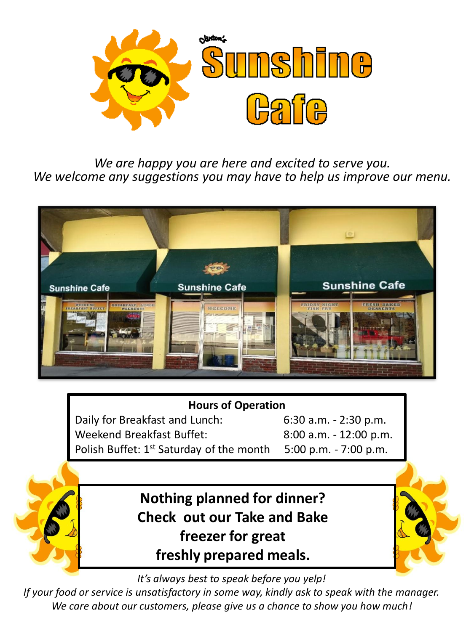

*We are happy you are here and excited to serve you. We welcome any suggestions you may have to help us improve our menu.*



#### **Hours of Operation**

Daily for Breakfast and Lunch: 6:30 a.m. - 2:30 p.m. Weekend Breakfast Buffet: 8:00 a.m. - 12:00 p.m. Polish Buffet: 1<sup>st</sup> Saturday of the month 5:00 p.m. - 7:00 p.m.

> **Nothing planned for dinner? Check out our Take and Bake freezer for great freshly prepared meals.**

*It's always best to speak before you yelp!*

*If your food or service is unsatisfactory in some way, kindly ask to speak with the manager. We care about our customers, please give us a chance to show you how much!*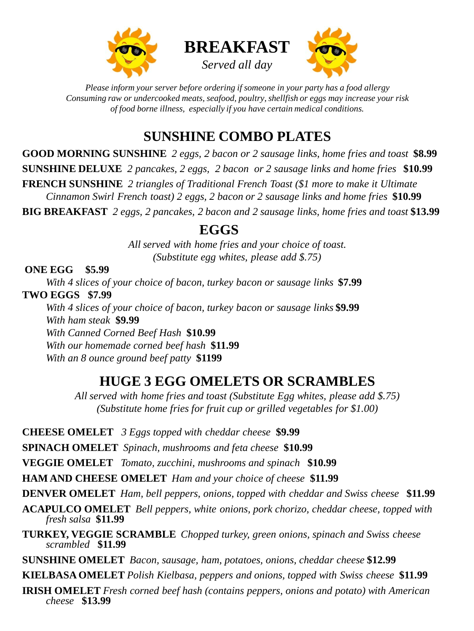





*Please inform your server before ordering if someone in your party has a food allergy Consuming raw or undercooked meats, seafood, poultry, shellfish or eggs may increase your risk of food borne illness, especially if you have certain medical conditions.* 

# **SUNSHINE COMBO PLATES**

**GOOD MORNING SUNSHINE** *2 eggs, 2 bacon or 2 sausage links, home fries and toast* **\$8.99 SUNSHINE DELUXE** *2 pancakes, 2 eggs, 2 bacon or 2 sausage links and home fries* **\$10.99 FRENCH SUNSHINE** *2 triangles of Traditional French Toast (\$1 more to make it Ultimate Cinnamon Swirl French toast) 2 eggs, 2 bacon or 2 sausage links and home fries* **\$10.99 BIG BREAKFAST** *2 eggs, 2 pancakes, 2 bacon and 2 sausage links, home fries and toast* **\$13.99**

### **EGGS**

*All served with home fries and your choice of toast. (Substitute egg whites, please add \$.75)*

**ONE EGG \$5.99**

*With 4 slices of your choice of bacon, turkey bacon or sausage links* **\$7.99 TWO EGGS \$7.99** *With 4 slices of your choice of bacon, turkey bacon or sausage links* **\$9.99** *With ham steak* **\$9.99** *With Canned Corned Beef Hash* **\$10.99** *With our homemade corned beef hash* **\$11.99** *With an 8 ounce ground beef patty* **\$1199**

# **HUGE 3 EGG OMELETS OR SCRAMBLES**

*All served with home fries and toast (Substitute Egg whites, please add \$.75) (Substitute home fries for fruit cup or grilled vegetables for \$1.00)*

**CHEESE OMELET** *3 Eggs topped with cheddar cheese* **\$9.99**

**SPINACH OMELET** *Spinach, mushrooms and feta cheese* **\$10.99**

**VEGGIE OMELET** *Tomato, zucchini, mushrooms and spinach* **\$10.99**

**HAM AND CHEESE OMELET** *Ham and your choice of cheese* **\$11.99**

**DENVER OMELET** *Ham, bell peppers, onions, topped with cheddar and Swiss cheese* **\$11.99**

**ACAPULCO OMELET** *Bell peppers, white onions, pork chorizo, cheddar cheese, topped with fresh salsa* **\$11.99**

**TURKEY, VEGGIE SCRAMBLE** *Chopped turkey, green onions, spinach and Swiss cheese scrambled* **\$11.99**

**SUNSHINE OMELET** *Bacon, sausage, ham, potatoes, onions, cheddar cheese* **\$12.99**

**KIELBASA OMELET** *Polish Kielbasa, peppers and onions, topped with Swiss cheese* **\$11.99**

**IRISH OMELET** *Fresh corned beef hash (contains peppers, onions and potato) with American cheese* **\$13.99**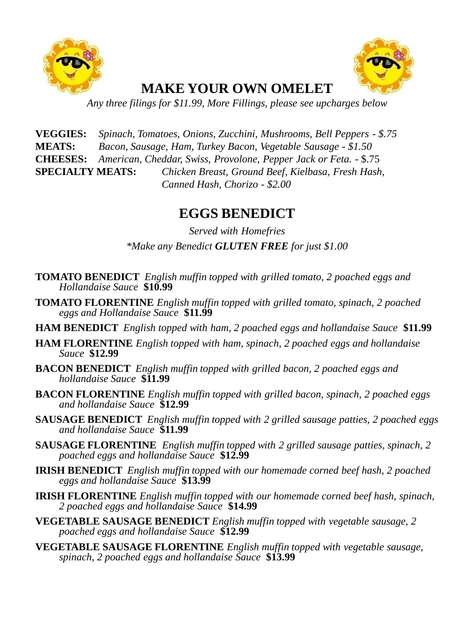



## **MAKE YOUR OWN OMELET**

*Any three filings for \$11.99, More Fillings, please see upcharges below*

**VEGGIES:** *Spinach, Tomatoes, Onions, Zucchini, Mushrooms, Bell Peppers - \$.75* **MEATS:** *Bacon, Sausage, Ham, Turkey Bacon, Vegetable Sausage - \$1.50* **CHEESES:** *American, Cheddar, Swiss, Provolone, Pepper Jack or Feta.* - \$.75 **SPECIALTY MEATS:** *Chicken Breast, Ground Beef, Kielbasa, Fresh Hash, Canned Hash, Chorizo - \$2.00*

### **EGGS BENEDICT**

*Served with Homefries \*Make any Benedict GLUTEN FREE for just \$1.00*

- **TOMATO BENEDICT** *English muffin topped with grilled tomato, 2 poached eggs and Hollandaise Sauce* **\$10.99**
- **TOMATO FLORENTINE** *English muffin topped with grilled tomato, spinach, 2 poached eggs and Hollandaise Sauce* **\$11.99**
- **HAM BENEDICT** *English topped with ham, 2 poached eggs and hollandaise Sauce* **\$11.99**
- **HAM FLORENTINE** *English topped with ham, spinach, 2 poached eggs and hollandaise Sauce* **\$12.99**
- **BACON BENEDICT** *English muffin topped with grilled bacon, 2 poached eggs and hollandaise Sauce* **\$11.99**
- **BACON FLORENTINE** *English muffin topped with grilled bacon, spinach, 2 poached eggs and hollandaise Sauce* **\$12.99**
- **SAUSAGE BENEDICT** *English muffin topped with 2 grilled sausage patties, 2 poached eggs and hollandaise Sauce* **\$11.99**
- **SAUSAGE FLORENTINE** *English muffin topped with 2 grilled sausage patties, spinach, 2 poached eggs and hollandaise Sauce* **\$12.99**
- **IRISH BENEDICT** *English muffin topped with our homemade corned beef hash, 2 poached eggs and hollandaise Sauce* **\$13.99**
- **IRISH FLORENTINE** *English muffin topped with our homemade corned beef hash, spinach, 2 poached eggs and hollandaise Sauce* **\$14.99**
- **VEGETABLE SAUSAGE BENEDICT** *English muffin topped with vegetable sausage, 2 poached eggs and hollandaise Sauce* **\$12.99**
- **VEGETABLE SAUSAGE FLORENTINE** *English muffin topped with vegetable sausage, spinach, 2 poached eggs and hollandaise Sauce* **\$13.99**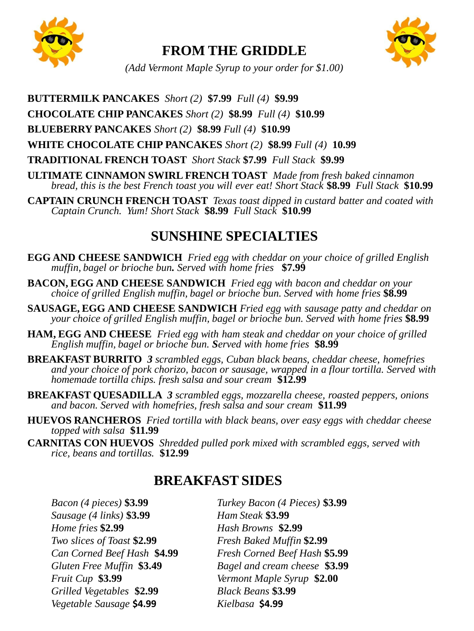

### **FROM THE GRIDDLE**



*(Add Vermont Maple Syrup to your order for \$1.00)*

**BUTTERMILK PANCAKES** *Short (2)* **\$7.99** *Full (4)* **\$9.99**

**CHOCOLATE CHIP PANCAKES** *Short (2)* **\$8.99** *Full (4)* **\$10.99**

**BLUEBERRY PANCAKES** *Short (2)* **\$8.99** *Full (4)* **\$10.99**

**WHITE CHOCOLATE CHIP PANCAKES** *Short (2)* **\$8.99** *Full (4)* **10.99**

**TRADITIONAL FRENCH TOAST** *Short Stack* **\$7.99** *Full Stack* **\$9.99**

**ULTIMATE CINNAMON SWIRL FRENCH TOAST** *Made from fresh baked cinnamon bread, this is the best French toast you will ever eat! Short Stack* **\$8.99** *Full Stack* **\$10.99**

**CAPTAIN CRUNCH FRENCH TOAST** *Texas toast dipped in custard batter and coated with Captain Crunch. Yum! Short Stack* **\$8.99** *Full Stack* **\$10.99**

# **SUNSHINE SPECIALTIES**

**EGG AND CHEESE SANDWICH** *Fried egg with cheddar on your choice of grilled English muffin, bagel or brioche bun. Served with home fries* **\$7.99**

**BACON, EGG AND CHEESE SANDWICH** *Fried egg with bacon and cheddar on your choice of grilled English muffin, bagel or brioche bun. Served with home fries* **\$8.99**

**SAUSAGE, EGG AND CHEESE SANDWICH** *Fried egg with sausage patty and cheddar on your choice of grilled English muffin, bagel or brioche bun. Served with home fries* **\$8.99**

**HAM, EGG AND CHEESE** *Fried egg with ham steak and cheddar on your choice of grilled English muffin, bagel or brioche bun. Served with home fries* **\$8.99**

**BREAKFAST BURRITO** *3 scrambled eggs, Cuban black beans, cheddar cheese, homefries and your choice of pork chorizo, bacon or sausage, wrapped in a flour tortilla. Served with homemade tortilla chips. fresh salsa and sour cream* **\$12.99**

**BREAKFAST QUESADILLA** *3 scrambled eggs, mozzarella cheese, roasted peppers, onions and bacon. Served with homefries, fresh salsa and sour cream* **\$11.99**

- **HUEVOS RANCHEROS** *Fried tortilla with black beans, over easy eggs with cheddar cheese topped with salsa* **\$11.99**
- **CARNITAS CON HUEVOS** *Shredded pulled pork mixed with scrambled eggs, served with rice, beans and tortillas.* **\$12.99**

#### **BREAKFAST SIDES**

| Bacon (4 pieces) \$3.99     | Turkey Bacon (4 Pieces) \$3.99 |
|-----------------------------|--------------------------------|
| Sausage (4 links) \$3.99    | Ham Steak \$3.99               |
| Home fries \$2.99           | Hash Browns \$2.99             |
| Two slices of Toast \$2.99  | Fresh Baked Muffin \$2.99      |
| Can Corned Beef Hash \$4.99 | Fresh Corned Beef Hash \$5.99  |
| Gluten Free Muffin \$3.49   | Bagel and cream cheese \$3.99  |
| Fruit Cup \$3.99            | Vermont Maple Syrup \$2.00     |
| Grilled Vegetables \$2.99   | <b>Black Beans \$3.99</b>      |
| Vegetable Sausage \$4.99    | Kielbasa \$4.99                |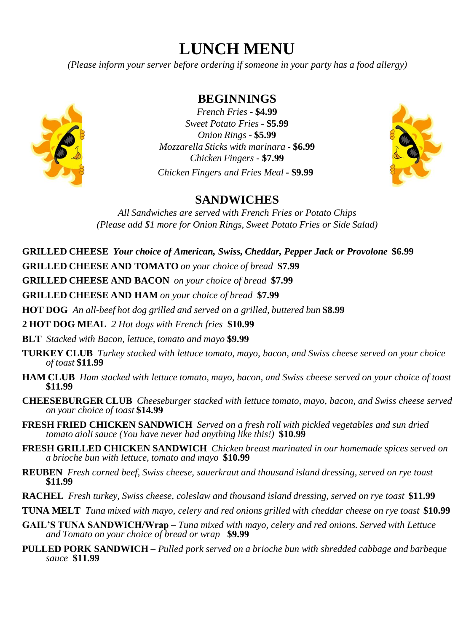# **LUNCH MENU**

*(Please inform your server before ordering if someone in your party has a food allergy)*



**BEGINNINGS**

*French Fries -* **\$4.99** *Sweet Potato Fries -* **\$5.99** *Onion Rings -* **\$5.99** *Mozzarella Sticks with marinara -* **\$6.99** *Chicken Fingers -* **\$7.99** *Chicken Fingers and Fries Meal* **- \$9.99**



#### **SANDWICHES**

*All Sandwiches are served with French Fries or Potato Chips (Please add \$1 more for Onion Rings, Sweet Potato Fries or Side Salad)*

**GRILLED CHEESE** *Your choice of American, Swiss, Cheddar, Pepper Jack or Provolone* **\$6.99**

**GRILLED CHEESE AND TOMATO** *on your choice of bread* **\$7.99**

**GRILLED CHEESE AND BACON** *on your choice of bread* **\$7.99**

**GRILLED CHEESE AND HAM** *on your choice of bread* **\$7.99**

**HOT DOG** *An all-beef hot dog grilled and served on a grilled, buttered bun* **\$8.99**

**2 HOT DOG MEAL** *2 Hot dogs with French fries* **\$10.99**

**BLT** *Stacked with Bacon, lettuce, tomato and mayo* **\$9.99**

- **TURKEY CLUB** *Turkey stacked with lettuce tomato, mayo, bacon, and Swiss cheese served on your choice of toast* **\$11.99**
- **HAM CLUB** *Ham stacked with lettuce tomato, mayo, bacon, and Swiss cheese served on your choice of toast*  **\$11.99**
- **CHEESEBURGER CLUB** *Cheeseburger stacked with lettuce tomato, mayo, bacon, and Swiss cheese served on your choice of toast* **\$14.99**
- **FRESH FRIED CHICKEN SANDWICH** *Served on a fresh roll with pickled vegetables and sun dried tomato aioli sauce (You have never had anything like this!)* **\$10.99**
- **FRESH GRILLED CHICKEN SANDWICH** *Chicken breast marinated in our homemade spices served on a brioche bun with lettuce, tomato and mayo* **\$10.99**
- **REUBEN** *Fresh corned beef, Swiss cheese, sauerkraut and thousand island dressing, served on rye toast*  **\$11.99**
- **RACHEL** *Fresh turkey, Swiss cheese, coleslaw and thousand island dressing, served on rye toast* **\$11.99**
- **TUNA MELT** *Tuna mixed with mayo, celery and red onions grilled with cheddar cheese on rye toast* **\$10.99**
- **GAIL'S TUNA SANDWICH/Wrap –** *Tuna mixed with mayo, celery and red onions. Served with Lettuce and Tomato on your choice of bread or wrap* **\$9.99**
- **PULLED PORK SANDWICH –** *Pulled pork served on a brioche bun with shredded cabbage and barbeque sauce* **\$11.99**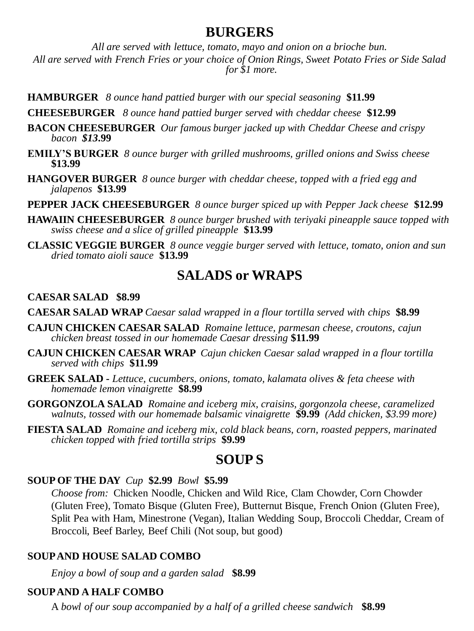#### **BURGERS**

*All are served with lettuce, tomato, mayo and onion on a brioche bun. All are served with French Fries or your choice of Onion Rings, Sweet Potato Fries or Side Salad for \$1 more.* 

**HAMBURGER** *8 ounce hand pattied burger with our special seasoning* **\$11.99**

**CHEESEBURGER** *8 ounce hand pattied burger served with cheddar cheese* **\$12.99**

- **BACON CHEESEBURGER** *Our famous burger jacked up with Cheddar Cheese and crispy bacon \$13***.99**
- **EMILY'S BURGER** *8 ounce burger with grilled mushrooms, grilled onions and Swiss cheese*  **\$13.99**
- **HANGOVER BURGER** *8 ounce burger with cheddar cheese, topped with a fried egg and jalapenos* **\$13.99**
- **PEPPER JACK CHEESEBURGER** *8 ounce burger spiced up with Pepper Jack cheese* **\$12.99**
- **HAWAIIN CHEESEBURGER** *8 ounce burger brushed with teriyaki pineapple sauce topped with swiss cheese and a slice of grilled pineapple* **\$13.99**
- **CLASSIC VEGGIE BURGER** *8 ounce veggie burger served with lettuce, tomato, onion and sun dried tomato aioli sauce* **\$13.99**

### **SALADS or WRAPS**

#### **CAESAR SALAD \$8.99**

**CAESAR SALAD WRAP** *Caesar salad wrapped in a flour tortilla served with chips* **\$8.99**

- **CAJUN CHICKEN CAESAR SALAD** *Romaine lettuce, parmesan cheese, croutons, cajun chicken breast tossed in our homemade Caesar dressing* **\$11.99**
- **CAJUN CHICKEN CAESAR WRAP** *Cajun chicken Caesar salad wrapped in a flour tortilla served with chips* **\$11.99**
- **GREEK SALAD -** *Lettuce, cucumbers, onions, tomato, kalamata olives & feta cheese with homemade lemon vinaigrette* **\$8.99**
- **GORGONZOLA SALAD** *Romaine and iceberg mix, craisins, gorgonzola cheese, caramelized walnuts, tossed with our homemade balsamic vinaigrette* **\$9.99** *(Add chicken, \$3.99 more)*
- **FIESTA SALAD** *Romaine and iceberg mix, cold black beans, corn, roasted peppers, marinated chicken topped with fried tortilla strips* **\$9.99**

#### **SOUP S**

#### **SOUP OF THE DAY** *Cup* **\$2.99** *Bowl* **\$5.99**

*Choose from:* Chicken Noodle, Chicken and Wild Rice, Clam Chowder, Corn Chowder (Gluten Free), Tomato Bisque (Gluten Free), Butternut Bisque, French Onion (Gluten Free), Split Pea with Ham, Minestrone (Vegan), Italian Wedding Soup, Broccoli Cheddar, Cream of Broccoli, Beef Barley, Beef Chili (Not soup, but good)

#### **SOUP AND HOUSE SALAD COMBO**

*Enjoy a bowl of soup and a garden salad* **\$8.99**

#### **SOUP AND A HALF COMBO**

A *bowl of our soup accompanied by a half of a grilled cheese sandwich* **\$8.99**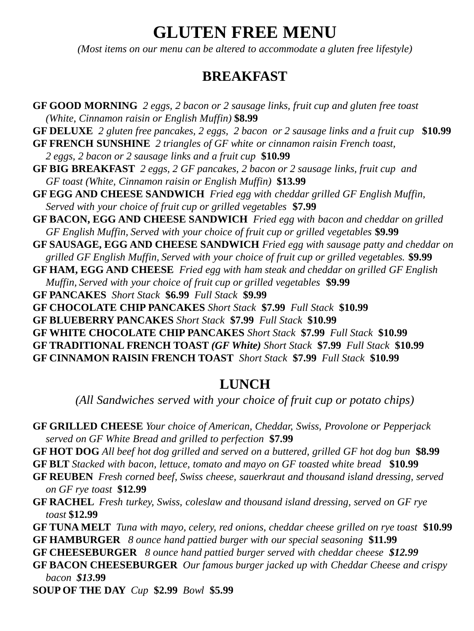# **GLUTEN FREE MENU**

*(Most items on our menu can be altered to accommodate a gluten free lifestyle)*

#### **BREAKFAST**

**GF GOOD MORNING** *2 eggs, 2 bacon or 2 sausage links, fruit cup and gluten free toast (White, Cinnamon raisin or English Muffin)* **\$8.99 GF DELUXE** *2 gluten free pancakes, 2 eggs, 2 bacon or 2 sausage links and a fruit cup* **\$10.99 GF FRENCH SUNSHINE** *2 triangles of GF white or cinnamon raisin French toast, 2 eggs, 2 bacon or 2 sausage links and a fruit cup* **\$10.99 GF BIG BREAKFAST** *2 eggs, 2 GF pancakes, 2 bacon or 2 sausage links, fruit cup and GF toast (White, Cinnamon raisin or English Muffin)* **\$13.99 GF EGG AND CHEESE SANDWICH** *Fried egg with cheddar grilled GF English Muffin, Served with your choice of fruit cup or grilled vegetables* **\$7.99 GF BACON, EGG AND CHEESE SANDWICH** *Fried egg with bacon and cheddar on grilled GF English Muffin, Served with your choice of fruit cup or grilled vegetables* **\$9.99 GF SAUSAGE, EGG AND CHEESE SANDWICH** *Fried egg with sausage patty and cheddar on grilled GF English Muffin, Served with your choice of fruit cup or grilled vegetables.* **\$9.99 GF HAM, EGG AND CHEESE** *Fried egg with ham steak and cheddar on grilled GF English Muffin, Served with your choice of fruit cup or grilled vegetables* **\$9.99 GF PANCAKES** *Short Stack* **\$6.99** *Full Stack* **\$9.99 GF CHOCOLATE CHIP PANCAKES** *Short Stack* **\$7.99** *Full Stack* **\$10.99 GF BLUEBERRY PANCAKES** *Short Stack* **\$7.99** *Full Stack* **\$10.99 GF WHITE CHOCOLATE CHIP PANCAKES** *Short Stack* **\$7.99** *Full Stack* **\$10.99 GF TRADITIONAL FRENCH TOAST** *(GF White) Short Stack* **\$7.99** *Full Stack* **\$10.99 GF CINNAMON RAISIN FRENCH TOAST** *Short Stack* **\$7.99** *Full Stack* **\$10.99**

#### **LUNCH**

*(All Sandwiches served with your choice of fruit cup or potato chips)*

- **GF GRILLED CHEESE** *Your choice of American, Cheddar, Swiss, Provolone or Pepperjack served on GF White Bread and grilled to perfection* **\$7.99**
- **GF HOT DOG** *All beef hot dog grilled and served on a buttered, grilled GF hot dog bun* **\$8.99**
- **GF BLT** *Stacked with bacon, lettuce, tomato and mayo on GF toasted white bread* **\$10.99**
- **GF REUBEN** *Fresh corned beef, Swiss cheese, sauerkraut and thousand island dressing, served on GF rye toast* **\$12.99**
- **GF RACHEL** *Fresh turkey, Swiss, coleslaw and thousand island dressing, served on GF rye toast* **\$12.99**
- **GF TUNA MELT** *Tuna with mayo, celery, red onions, cheddar cheese grilled on rye toast* **\$10.99 GF HAMBURGER** *8 ounce hand pattied burger with our special seasoning* **\$11.99**
- **GF CHEESEBURGER** *8 ounce hand pattied burger served with cheddar cheese \$12.99*
- **GF BACON CHEESEBURGER** *Our famous burger jacked up with Cheddar Cheese and crispy bacon \$13***.99**

**SOUP OF THE DAY** *Cup* **\$2.99** *Bowl* **\$5.99**